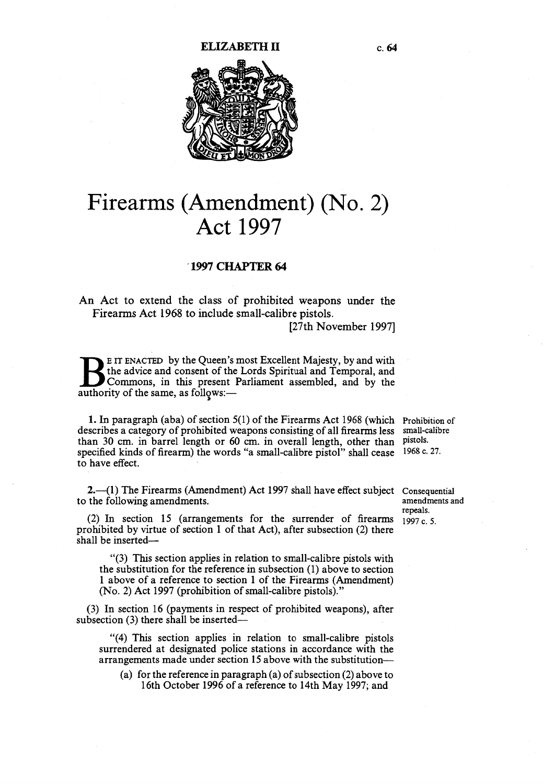

# Firearms (Amendment) (No. 2) Act 1997

### 1997 CHAPTER 64

An Act to extend the class of prohibited weapons under the Firearms Act 1968 to include small-calibre pistols.

[27th November 1997]

E IT ENACTED by the Queen's most Excellent Majesty, by and with the advice and consent of the Lords Spiritual and Temporal, and Commons, in this present Parliament assembled, and by the authority of the same as follows: the advice and consent of the Lords Spiritual and Temporal, and authority of the same, as follows:-

1. In paragraph (aba) of section 5(1) of the Firearms Act 1968 (which Prohibition of describes a category of prohibited weapons consisting of all firearms less than 30 cm. in barrel length or 60 cm. in overall length, other than pistols. specified kinds of firearm) the words "a small-calibre pistol" shall cease 1968 c. 27. to have effect.

small-calibre

2.—(1) The Firearms (Amendment) Act 1997 shall have effect subject Consequential to the following amendments.

(2) In section 15 (arrangements for the surrender of firearms prohibited by virtue of section 1 of that Act), after subsection (2) there shall be inserted—

"(3) This section applies in relation to small-calibre pistols with the substitution for the reference in subsection (1) above to section <sup>1</sup>above of a reference to section 1 of the Firearms (Amendment) (No. 2) Act 1997 (prohibition of small-calibre pistols)."

(3) In section 16 (payments in respect of prohibited weapons), after subsection (3) there shall be inserted—

"(4) This section applies in relation to small-calibre pistols surrendered at designated police stations in accordance with the arrangements made under section 15 above with the substitution—

(a) for the reference in paragraph (a) of subsection (2) above to 16th October 1996 of a reference to 14th May 1997; and

amendments and repeals. 1997 c. 5.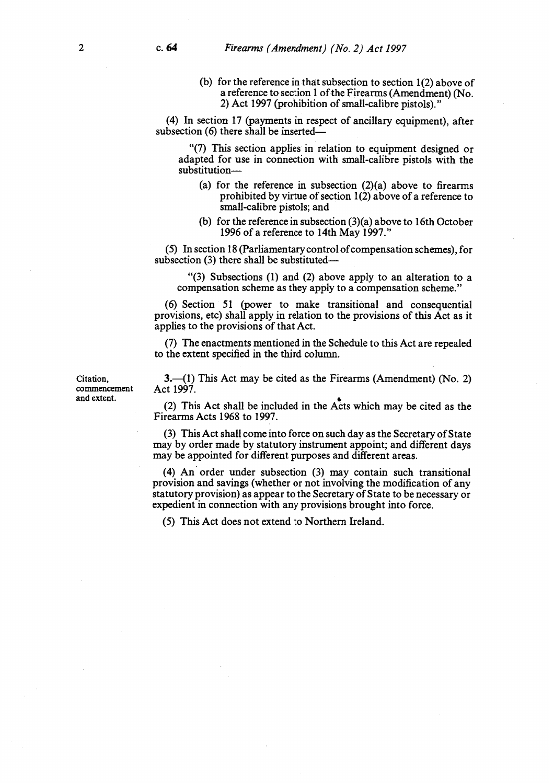(b) for the reference in that subsection to section 1(2) above of a reference to section 1 of the Firearms (Amendment) (No. 2) Act 1997 (prohibition of small-calibre pistols)."

(4) In section 17 (payments in respect of ancillary equipment), after subsection (6) there shall be inserted—

"(7) This section applies in relation to equipment designed or adapted for use in connection with small-calibre pistols with the substitution—

- (a) for the reference in subsection  $(2)(a)$  above to firearms prohibited by virtue of section 1(2) above of a reference to small-calibre pistols; and
- (b) for the reference in subsection (3)(a) above to 16th October 1996 of a reference to 14th May 1997."

(5) In section 18 (Parliamentary control of compensation schemes), for subsection (3) there shall be substituted—

"(3) Subsections (1) and (2) above apply to an alteration to a compensation scheme as they apply to a compensation scheme."

(6) Section 51 (power to make transitional and consequential provisions, etc) shall apply in relation to the provisions of this Act as it applies to the provisions of that Act.

(7) The enactments mentioned in the Schedule to this Act are repealed to the extent specified in the third column.

commencement<br>and extent.

Citation, 3.—(1) This Act may be cited as the Firearms (Amendment) (No. 2) commencement Act 1997.

and extent. (2) This Act shall be included in the  $A<sup>*</sup>$  cts which may be cited as the Firearms Acts 1968 to 1997.

> (3) This Act shall come into force on such day as the Secretary of State may by order made by statutory instrument appoint; and different days may be appointed for different purposes and different areas.

> (4) An order under subsection (3) may contain such transitional provision and savings (whether or not involving the modification of any statutory provision) as appear to the Secretary of State to be necessary or expedient in connection with any provisions brought into force.

(5) This Act does not extend to Northern Ireland.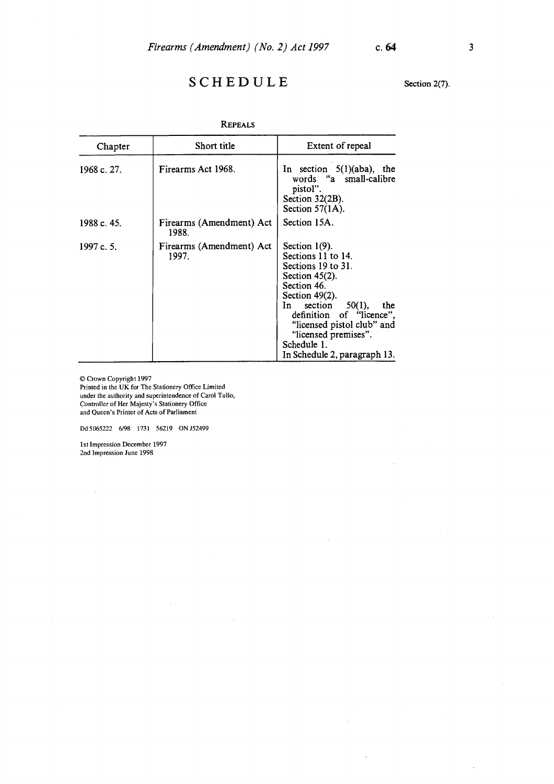## S C H E D U L E Section 2(7).

| Chapter     | Short title                       | Extent of repeal                                                                                                                                                                                                                                                                            |
|-------------|-----------------------------------|---------------------------------------------------------------------------------------------------------------------------------------------------------------------------------------------------------------------------------------------------------------------------------------------|
| 1968 c. 27. | Firearms Act 1968.                | In section $5(1)(aba)$ , the<br>words "a small-calibre<br>pistol".<br>Section $32(2B)$ .<br>Section $57(1A)$ .                                                                                                                                                                              |
| 1988 c. 45. | Firearms (Amendment) Act<br>1988. | Section 15A.                                                                                                                                                                                                                                                                                |
| 1997 c. 5.  | Firearms (Amendment) Act<br>1997. | Section $1(9)$ .<br>Sections 11 to 14.<br>Sections 19 to 31.<br>Section $45(2)$ .<br>Section 46.<br>Section $49(2)$ .<br>$50(1)$ ,<br>section<br>In<br>the<br>definition of "licence",<br>"licensed pistol club" and<br>"licensed premises".<br>Schedule 1.<br>In Schedule 2, paragraph 13. |

REPEALS

© Crown Copyright 1997

Printed in the UK for The Stationery Office Limited under the authority and superintendence of Carol Tullo, Controller of Her Majesty's Stationery Office and Queen's Printer of Acts of Parliament

Dd5065222 6/98 1731 56219 0NJ52499

1st Impression December 1997 2nd Impression June 1998

 $\hat{\boldsymbol{\beta}}$ 

 $\ddot{\phantom{a}}$